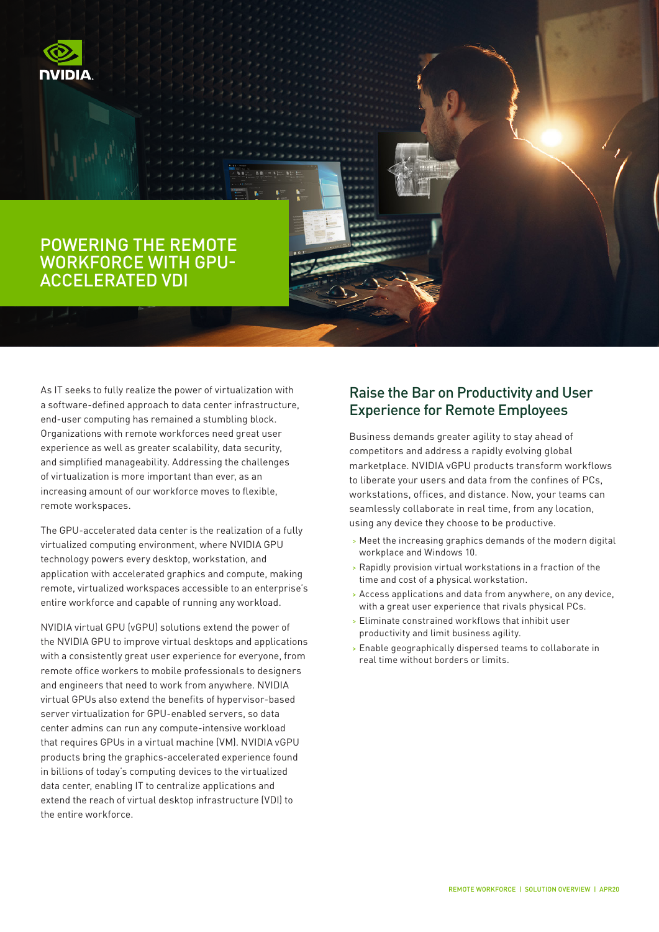

## POWERING THE REMOTE WORKFORCE WITH GPU-ACCELERATED VDI

As IT seeks to fully realize the power of virtualization with a software-defined approach to data center infrastructure, end-user computing has remained a stumbling block. Organizations with remote workforces need great user experience as well as greater scalability, data security, and simplified manageability. Addressing the challenges of virtualization is more important than ever, as an increasing amount of our workforce moves to flexible, remote workspaces.

The GPU-accelerated data center is the realization of a fully virtualized computing environment, where NVIDIA GPU technology powers every desktop, workstation, and application with accelerated graphics and compute, making remote, virtualized workspaces accessible to an enterprise's entire workforce and capable of running any workload.

NVIDIA virtual GPU (vGPU) solutions extend the power of the NVIDIA GPU to improve virtual desktops and applications with a consistently great user experience for everyone, from remote office workers to mobile professionals to designers and engineers that need to work from anywhere. NVIDIA virtual GPUs also extend the benefits of hypervisor-based server virtualization for GPU-enabled servers, so data center admins can run any compute-intensive workload that requires GPUs in a virtual machine (VM). NVIDIA vGPU products bring the graphics-accelerated experience found in billions of today's computing devices to the virtualized data center, enabling IT to centralize applications and extend the reach of virtual desktop infrastructure (VDI) to the entire workforce.

## Raise the Bar on Productivity and User Experience for Remote Employees

Business demands greater agility to stay ahead of competitors and address a rapidly evolving global marketplace. NVIDIA vGPU products transform workflows to liberate your users and data from the confines of PCs, workstations, offices, and distance. Now, your teams can seamlessly collaborate in real time, from any location, using any device they choose to be productive.

- > Meet the increasing graphics demands of the modern digital workplace and Windows 10.
- > Rapidly provision virtual workstations in a fraction of the time and cost of a physical workstation.
- > Access applications and data from anywhere, on any device, with a great user experience that rivals physical PCs.
- > Eliminate constrained workflows that inhibit user productivity and limit business agility.
- > Enable geographically dispersed teams to collaborate in real time without borders or limits.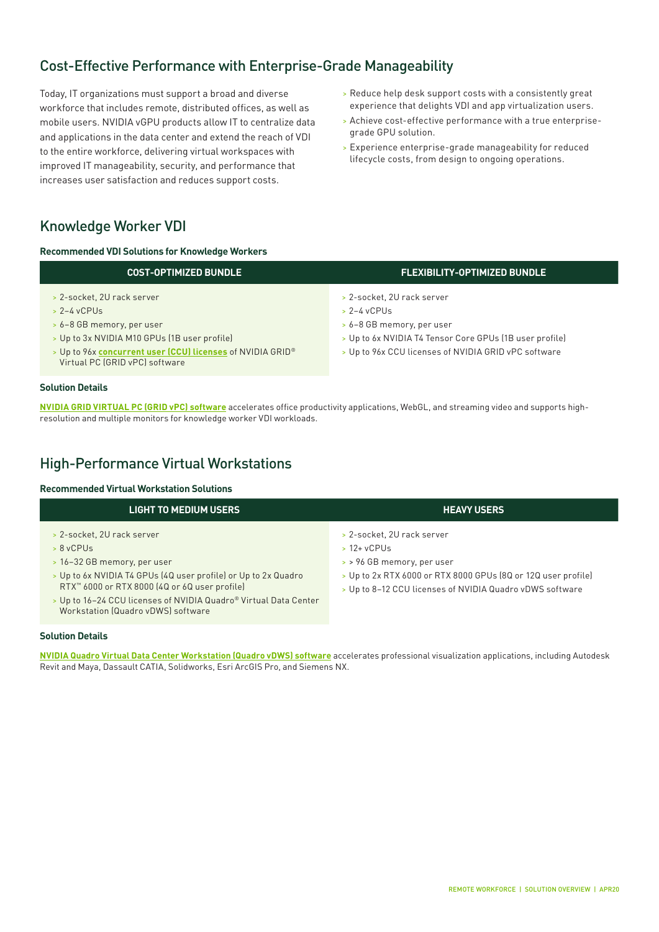## Cost-Effective Performance with Enterprise-Grade Manageability

Today, IT organizations must support a broad and diverse workforce that includes remote, distributed offices, as well as mobile users. NVIDIA vGPU products allow IT to centralize data and applications in the data center and extend the reach of VDI to the entire workforce, delivering virtual workspaces with improved IT manageability, security, and performance that increases user satisfaction and reduces support costs.

- > Reduce help desk support costs with a consistently great experience that delights VDI and app virtualization users.
- > Achieve cost-effective performance with a true enterprisegrade GPU solution.
- > Experience enterprise-grade manageability for reduced lifecycle costs, from design to ongoing operations.

## Knowledge Worker VDI

**Recommended VDI Solutions for Knowledge Workers**

| <b>COST-OPTIMIZED BUNDLE</b>                                                                                                                                                                                             | <u> FLEXIBILITY-OPTIMIZED BUNDLE </u>                                                                                                                                                       |  |
|--------------------------------------------------------------------------------------------------------------------------------------------------------------------------------------------------------------------------|---------------------------------------------------------------------------------------------------------------------------------------------------------------------------------------------|--|
| > 2-socket, 2U rack server<br>$> 2-4$ vCPUs<br>> 6-8 GB memory, per user<br>> Up to 3x NVIDIA M10 GPUs (1B user profile)<br>> Up to 96x concurrent user (CCU) licenses of NVIDIA GRID®<br>Virtual PC (GRID vPC) software | > 2-socket, 2U rack server<br>$> 2-4$ vCPUs<br>> 6-8 GB memory, per user<br>> Up to 6x NVIDIA T4 Tensor Core GPUs (1B user profile)<br>> Up to 96x CCU licenses of NVIDIA GRID vPC software |  |
| lution Details                                                                                                                                                                                                           |                                                                                                                                                                                             |  |

**[NVIDIA GRID VIRTUAL PC \(GRID vPC\)](https://www.nvidia.com/en-us/data-center/virtual-pc-apps/) software** accelerates office productivity applications, WebGL, and streaming video and supports highresolution and multiple monitors for knowledge worker VDI workloads.

## High-Performance Virtual Workstations

#### **Recommended Virtual Workstation Solutions**

| <b>LIGHT TO MEDIUM USERS</b>                                                                                                                                                                                                                                                                                      | <b>HEAVY USERS</b>                                                                                                                                                                                       |
|-------------------------------------------------------------------------------------------------------------------------------------------------------------------------------------------------------------------------------------------------------------------------------------------------------------------|----------------------------------------------------------------------------------------------------------------------------------------------------------------------------------------------------------|
| > 2-socket, 2U rack server<br>$> 8$ vCPUs<br>> 16-32 GB memory, per user<br>> Up to 6x NVIDIA T4 GPUs (4Q user profile) or Up to 2x Quadro<br>RTX <sup>™</sup> 6000 or RTX 8000 (4Q or 6Q user profile)<br>> Up to 16-24 CCU licenses of NVIDIA Quadro® Virtual Data Center<br>Workstation (Quadro vDWS) software | > 2-socket, 2U rack server<br>$> 12 + v$ CPUs<br>> > 96 GB memory, per user<br>> Up to 2x RTX 6000 or RTX 8000 GPUs (8Q or 12Q user profile)<br>> Up to 8-12 CCU licenses of NVIDIA Quadro vDWS software |

#### **Solution Details**

**Solution Details**

**[NVIDIA Quadro Virtual Data Center Workstation \(Quadro vDWS\) software](https://www.nvidia.com/en-us/design-visualization/quadro-vdws/)** accelerates professional visualization applications, including Autodesk Revit and Maya, Dassault CATIA, Solidworks, Esri ArcGIS Pro, and Siemens NX.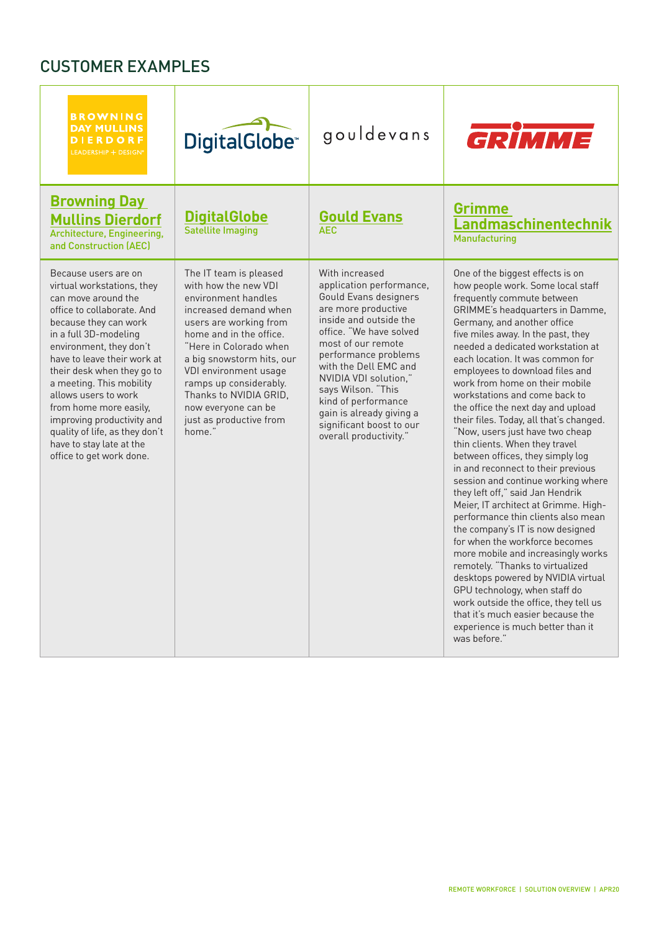# CUSTOMER EXAMPLES

| <b>BROWNING</b><br><b>DAY MULLINS</b><br><b>DIERDORF</b><br>LEADERSHIP + DESIGN®                                                                                                                                                                                                                                                                                                                                                                        | <b>DigitalGlobe</b> <sup>®</sup>                                                                                                                                                                                                                                                                                                                    | gouldevans                                                                                                                                                                                                                                                                                                                                                                     | GRÍMME                                                                                                                                                                                                                                                                                                                                                                                                                                                                                                                                                                                                                                                                                                                                                                                                                                                                                                                                                                                                                                                                                                                                       |
|---------------------------------------------------------------------------------------------------------------------------------------------------------------------------------------------------------------------------------------------------------------------------------------------------------------------------------------------------------------------------------------------------------------------------------------------------------|-----------------------------------------------------------------------------------------------------------------------------------------------------------------------------------------------------------------------------------------------------------------------------------------------------------------------------------------------------|--------------------------------------------------------------------------------------------------------------------------------------------------------------------------------------------------------------------------------------------------------------------------------------------------------------------------------------------------------------------------------|----------------------------------------------------------------------------------------------------------------------------------------------------------------------------------------------------------------------------------------------------------------------------------------------------------------------------------------------------------------------------------------------------------------------------------------------------------------------------------------------------------------------------------------------------------------------------------------------------------------------------------------------------------------------------------------------------------------------------------------------------------------------------------------------------------------------------------------------------------------------------------------------------------------------------------------------------------------------------------------------------------------------------------------------------------------------------------------------------------------------------------------------|
| <b>Browning Day</b><br><b>Mullins Dierdorf</b><br>Architecture, Engineering,<br>and Construction (AEC)                                                                                                                                                                                                                                                                                                                                                  | <b>DigitalGlobe</b><br><b>Satellite Imaging</b>                                                                                                                                                                                                                                                                                                     | <b>Gould Evans</b><br><b>AFC</b>                                                                                                                                                                                                                                                                                                                                               | <b>Grimme</b><br>Landmaschinentechnik<br>Manufacturing                                                                                                                                                                                                                                                                                                                                                                                                                                                                                                                                                                                                                                                                                                                                                                                                                                                                                                                                                                                                                                                                                       |
| Because users are on<br>virtual workstations, they<br>can move around the<br>office to collaborate. And<br>because they can work<br>in a full 3D-modeling<br>environment, they don't<br>have to leave their work at<br>their desk when they go to<br>a meeting. This mobility<br>allows users to work<br>from home more easily,<br>improving productivity and<br>quality of life, as they don't<br>have to stay late at the<br>office to get work done. | The IT team is pleased<br>with how the new VDI<br>environment handles<br>increased demand when<br>users are working from<br>home and in the office.<br>"Here in Colorado when<br>a big snowstorm hits, our<br>VDI environment usage<br>ramps up considerably.<br>Thanks to NVIDIA GRID.<br>now everyone can be<br>just as productive from<br>home." | With increased<br>application performance,<br>Gould Evans designers<br>are more productive<br>inside and outside the<br>office. "We have solved<br>most of our remote<br>performance problems<br>with the Dell EMC and<br>NVIDIA VDI solution,"<br>says Wilson. "This<br>kind of performance<br>gain is already giving a<br>significant boost to our<br>overall productivity." | One of the biggest effects is on<br>how people work. Some local staff<br>frequently commute between<br>GRIMME's headquarters in Damme,<br>Germany, and another office<br>five miles away. In the past, they<br>needed a dedicated workstation at<br>each location. It was common for<br>employees to download files and<br>work from home on their mobile<br>workstations and come back to<br>the office the next day and upload<br>their files. Today, all that's changed.<br>"Now, users just have two cheap<br>thin clients. When they travel<br>between offices, they simply log<br>in and reconnect to their previous<br>session and continue working where<br>they left off," said Jan Hendrik<br>Meier, IT architect at Grimme. High-<br>performance thin clients also mean<br>the company's IT is now designed<br>for when the workforce becomes<br>more mobile and increasingly works<br>remotely. "Thanks to virtualized<br>desktops powered by NVIDIA virtual<br>GPU technology, when staff do<br>work outside the office, they tell us<br>that it's much easier because the<br>experience is much better than it<br>was before." |